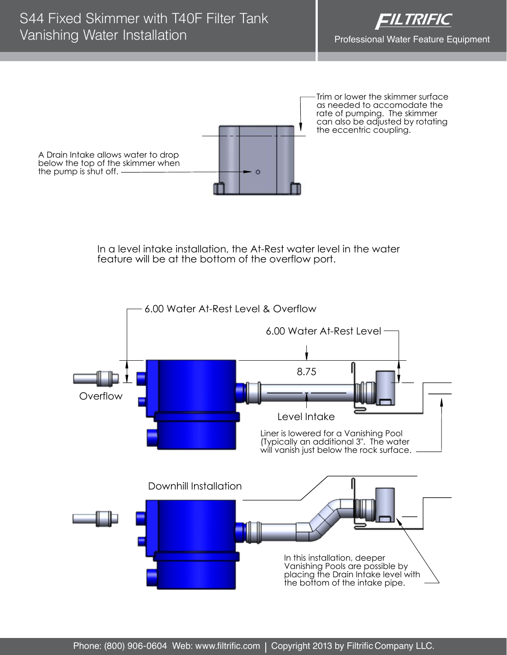



In a level intake installation, the At-Rest water level in the water feature will be at the bottom of the overflow port.